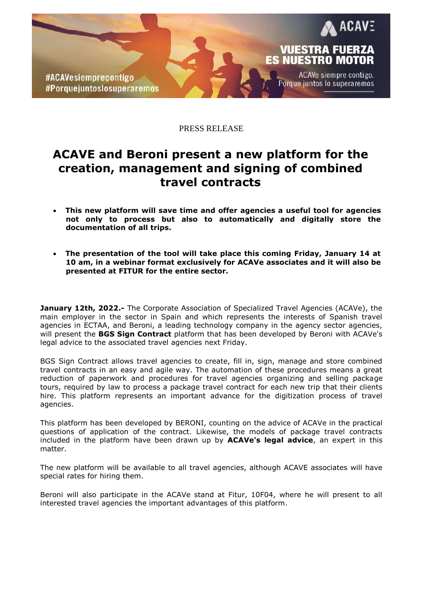

PRESS RELEASE

## **ACAVE and Beroni present a new platform for the creation, management and signing of combined travel contracts**

- **This new platform will save time and offer agencies a useful tool for agencies not only to process but also to automatically and digitally store the documentation of all trips.**
- **The presentation of the tool will take place this coming Friday, January 14 at 10 am, in a webinar format exclusively for ACAVe associates and it will also be presented at FITUR for the entire sector.**

**January 12th, 2022.-** The Corporate Association of Specialized Travel Agencies (ACAVe), the main employer in the sector in Spain and which represents the interests of Spanish travel agencies in ECTAA, and Beroni, a leading technology company in the agency sector agencies, will present the **BGS Sign Contract** platform that has been developed by Beroni with ACAVe's legal advice to the associated travel agencies next Friday.

BGS Sign Contract allows travel agencies to create, fill in, sign, manage and store combined travel contracts in an easy and agile way. The automation of these procedures means a great reduction of paperwork and procedures for travel agencies organizing and selling package tours, required by law to process a package travel contract for each new trip that their clients hire. This platform represents an important advance for the digitization process of travel agencies.

This platform has been developed by BERONI, counting on the advice of ACAVe in the practical questions of application of the contract. Likewise, the models of package travel contracts included in the platform have been drawn up by **ACAVe's legal advice**, an expert in this matter.

The new platform will be available to all travel agencies, although ACAVE associates will have special rates for hiring them.

Beroni will also participate in the ACAVe stand at Fitur, 10F04, where he will present to all interested travel agencies the important advantages of this platform.